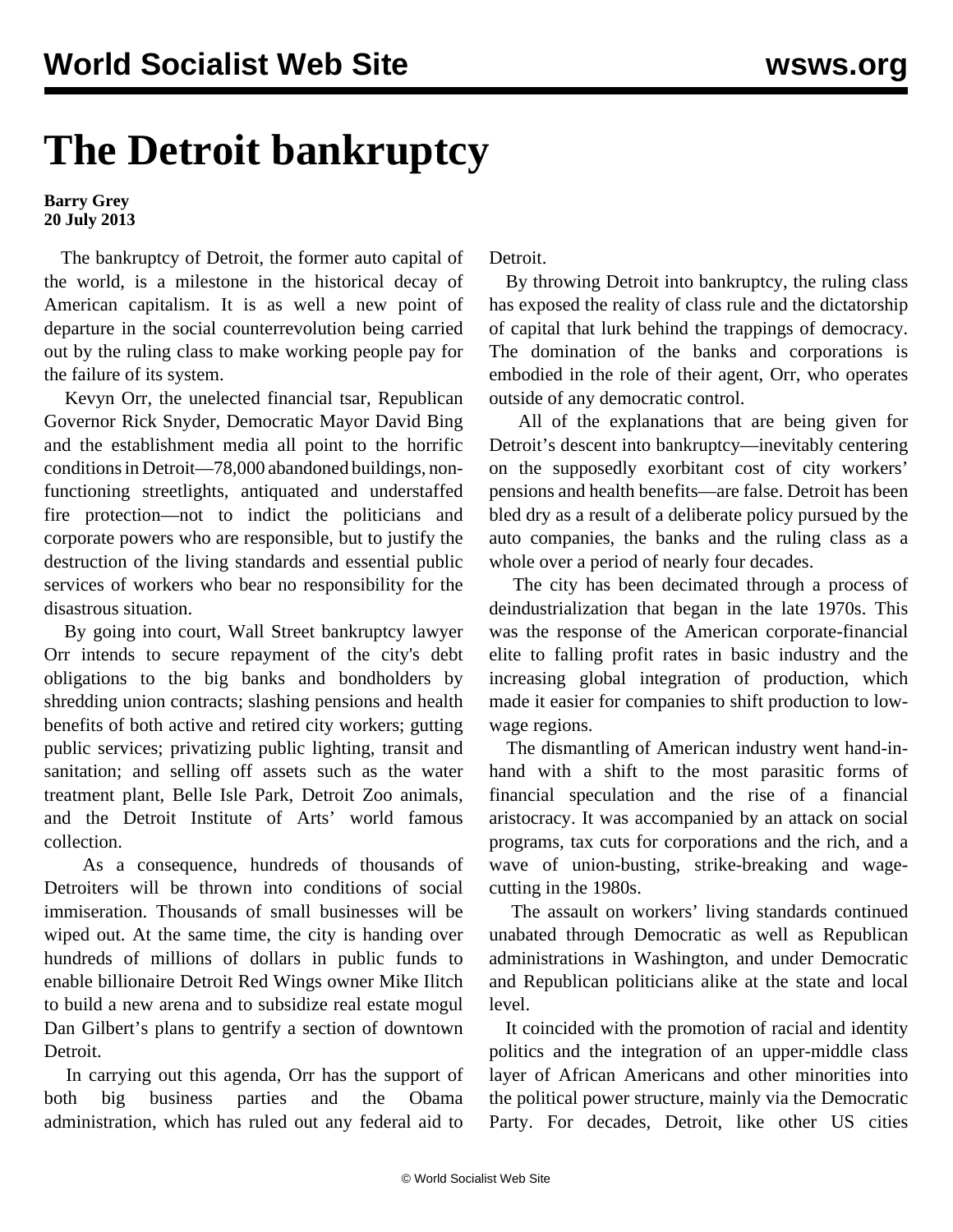## **The Detroit bankruptcy**

## **Barry Grey 20 July 2013**

 The bankruptcy of Detroit, the former auto capital of the world, is a milestone in the historical decay of American capitalism. It is as well a new point of departure in the social counterrevolution being carried out by the ruling class to make working people pay for the failure of its system.

 Kevyn Orr, the unelected financial tsar, Republican Governor Rick Snyder, Democratic Mayor David Bing and the establishment media all point to the horrific conditions in Detroit—78,000 abandoned buildings, nonfunctioning streetlights, antiquated and understaffed fire protection—not to indict the politicians and corporate powers who are responsible, but to justify the destruction of the living standards and essential public services of workers who bear no responsibility for the disastrous situation.

 By going into court, Wall Street bankruptcy lawyer Orr intends to secure repayment of the city's debt obligations to the big banks and bondholders by shredding union contracts; slashing pensions and health benefits of both active and retired city workers; gutting public services; privatizing public lighting, transit and sanitation; and selling off assets such as the water treatment plant, Belle Isle Park, Detroit Zoo animals, and the Detroit Institute of Arts' world famous collection.

 As a consequence, hundreds of thousands of Detroiters will be thrown into conditions of social immiseration. Thousands of small businesses will be wiped out. At the same time, the city is handing over hundreds of millions of dollars in public funds to enable billionaire Detroit Red Wings owner Mike Ilitch to build a new arena and to subsidize real estate mogul Dan Gilbert's plans to gentrify a section of downtown Detroit.

 In carrying out this agenda, Orr has the support of both big business parties and the Obama administration, which has ruled out any federal aid to Detroit.

 By throwing Detroit into bankruptcy, the ruling class has exposed the reality of class rule and the dictatorship of capital that lurk behind the trappings of democracy. The domination of the banks and corporations is embodied in the role of their agent, Orr, who operates outside of any democratic control.

 All of the explanations that are being given for Detroit's descent into bankruptcy—inevitably centering on the supposedly exorbitant cost of city workers' pensions and health benefits—are false. Detroit has been bled dry as a result of a deliberate policy pursued by the auto companies, the banks and the ruling class as a whole over a period of nearly four decades.

 The city has been decimated through a process of deindustrialization that began in the late 1970s. This was the response of the American corporate-financial elite to falling profit rates in basic industry and the increasing global integration of production, which made it easier for companies to shift production to lowwage regions.

 The dismantling of American industry went hand-inhand with a shift to the most parasitic forms of financial speculation and the rise of a financial aristocracy. It was accompanied by an attack on social programs, tax cuts for corporations and the rich, and a wave of union-busting, strike-breaking and wagecutting in the 1980s.

 The assault on workers' living standards continued unabated through Democratic as well as Republican administrations in Washington, and under Democratic and Republican politicians alike at the state and local level.

 It coincided with the promotion of racial and identity politics and the integration of an upper-middle class layer of African Americans and other minorities into the political power structure, mainly via the Democratic Party. For decades, Detroit, like other US cities